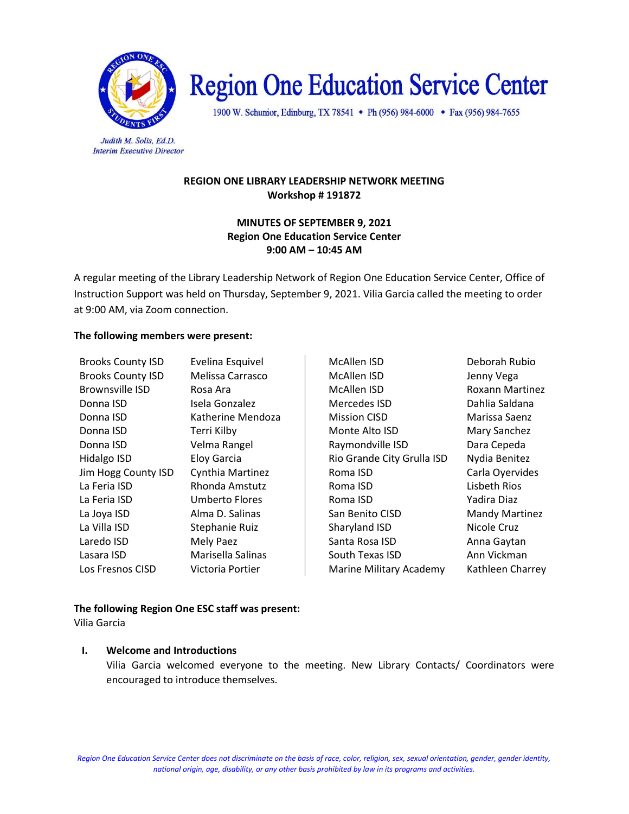

# **Region One Education Service Center**

1900 W. Schunior, Edinburg, TX 78541 • Ph (956) 984-6000 • Fax (956) 984-7655

Judith M. Solis, Ed.D. **Interim Executive Director** 

## REGION ONE LIBRARY LEADERSHIP NETWORK MEETING Workshop # 191872

#### MINUTES OF SEPTEMBER 9, 2021 Region One Education Service Center 9:00 AM – 10:45 AM

A regular meeting of the Library Leadership Network of Region One Education Service Center, Office of Instruction Support was held on Thursday, September 9, 2021. Vilia Garcia called the meeting to order at 9:00 AM, via Zoom connection.

#### The following members were present:

| <b>Brooks County ISD</b> | Evelina Esquivel      | McAllen ISD                | Deborah Ru        |
|--------------------------|-----------------------|----------------------------|-------------------|
| <b>Brooks County ISD</b> | Melissa Carrasco      | McAllen ISD                | Jenny Vega        |
| <b>Brownsville ISD</b>   | Rosa Ara              | McAllen ISD                | Roxann Ma         |
| Donna ISD                | Isela Gonzalez        | Mercedes ISD               | Dahlia Salda      |
| Donna ISD                | Katherine Mendoza     | <b>Mission CISD</b>        | Marissa Sae       |
| Donna ISD                | Terri Kilby           | Monte Alto ISD             | <b>Mary Sanch</b> |
| Donna ISD                | Velma Rangel          | Raymondville ISD           | Dara Ceped        |
| Hidalgo ISD              | Eloy Garcia           | Rio Grande City Grulla ISD | Nydia Benit       |
| Jim Hogg County ISD      | Cynthia Martinez      | Roma ISD                   | Carla Oyerv       |
| La Feria ISD             | Rhonda Amstutz        | Roma ISD                   | Lisbeth Rios      |
| La Feria ISD             | <b>Umberto Flores</b> | Roma ISD                   | Yadira Diaz       |
| La Joya ISD              | Alma D. Salinas       | San Benito CISD            | Mandy Mar         |
| La Villa ISD             | Stephanie Ruiz        | Sharyland ISD              | Nicole Cruz       |
| Laredo ISD               | Mely Paez             | Santa Rosa ISD             | Anna Gayta        |
| Lasara ISD               | Marisella Salinas     | South Texas ISD            | Ann Vickma        |
| Los Fresnos CISD         | Victoria Portier      | Marine Military Academy    | Kathleen Cl       |

**McAllen ISD Eveling County ISD** Deborah Rubio Brooks County ISD Melissa Carrasco McAllen ISD Jenny Vega McAllen ISD Roxann Martinez Mercedes ISD **Internal Conna Constructs** Dahlia Saldana **Mission CISD Marissa Saenz** Monte Alto ISD Mary Sanchez Raymondville ISD Dara Cepeda Rio Grande City Grulla ISD Nydia Benitez Roma ISD Carla Oyervides Roma ISD Lisbeth Rios San Benito CISD Mandy Martinez Sharyland ISD Nicole Cruz Santa Rosa ISD Anna Gaytan South Texas ISD Ann Vickman Marine Military Academy Kathleen Charrey

# The following Region One ESC staff was present:

Vilia Garcia

## I. Welcome and Introductions

Vilia Garcia welcomed everyone to the meeting. New Library Contacts/ Coordinators were encouraged to introduce themselves.

Region One Education Service Center does not discriminate on the basis of race, color, religion, sex, sexual orientation, gender, gender identity, national origin, age, disability, or any other basis prohibited by law in its programs and activities.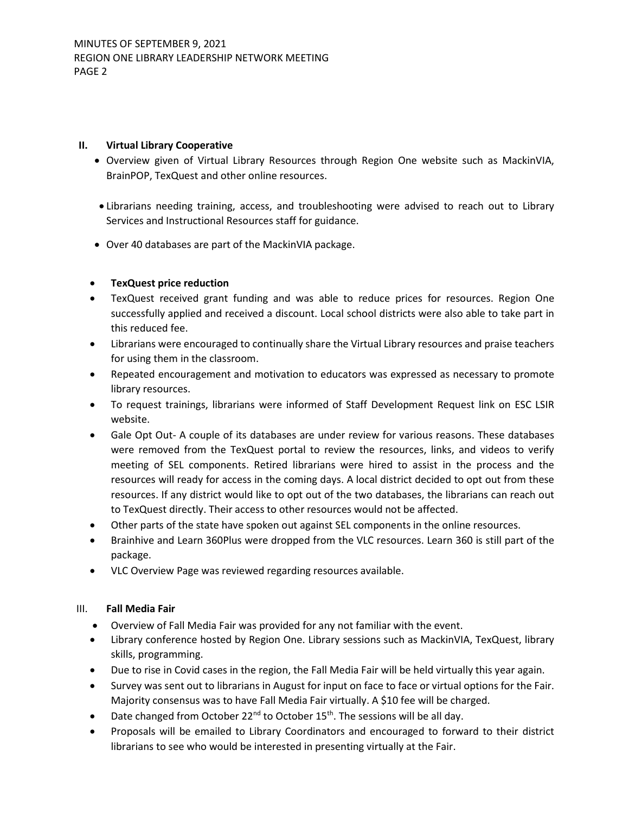#### II. Virtual Library Cooperative

- Overview given of Virtual Library Resources through Region One website such as MackinVIA, BrainPOP, TexQuest and other online resources.
- Librarians needing training, access, and troubleshooting were advised to reach out to Library Services and Instructional Resources staff for guidance.
- Over 40 databases are part of the MackinVIA package.

## TexQuest price reduction

- TexQuest received grant funding and was able to reduce prices for resources. Region One successfully applied and received a discount. Local school districts were also able to take part in this reduced fee.
- Librarians were encouraged to continually share the Virtual Library resources and praise teachers for using them in the classroom.
- Repeated encouragement and motivation to educators was expressed as necessary to promote library resources.
- To request trainings, librarians were informed of Staff Development Request link on ESC LSIR website.
- Gale Opt Out- A couple of its databases are under review for various reasons. These databases were removed from the TexQuest portal to review the resources, links, and videos to verify meeting of SEL components. Retired librarians were hired to assist in the process and the resources will ready for access in the coming days. A local district decided to opt out from these resources. If any district would like to opt out of the two databases, the librarians can reach out to TexQuest directly. Their access to other resources would not be affected.
- Other parts of the state have spoken out against SEL components in the online resources.
- Brainhive and Learn 360Plus were dropped from the VLC resources. Learn 360 is still part of the package.
- VLC Overview Page was reviewed regarding resources available.

## III. Fall Media Fair

- Overview of Fall Media Fair was provided for any not familiar with the event.
- Library conference hosted by Region One. Library sessions such as MackinVIA, TexQuest, library skills, programming.
- Due to rise in Covid cases in the region, the Fall Media Fair will be held virtually this year again.
- Survey was sent out to librarians in August for input on face to face or virtual options for the Fair. Majority consensus was to have Fall Media Fair virtually. A \$10 fee will be charged.
- Date changed from October 22<sup>nd</sup> to October 15<sup>th</sup>. The sessions will be all day.
- Proposals will be emailed to Library Coordinators and encouraged to forward to their district librarians to see who would be interested in presenting virtually at the Fair.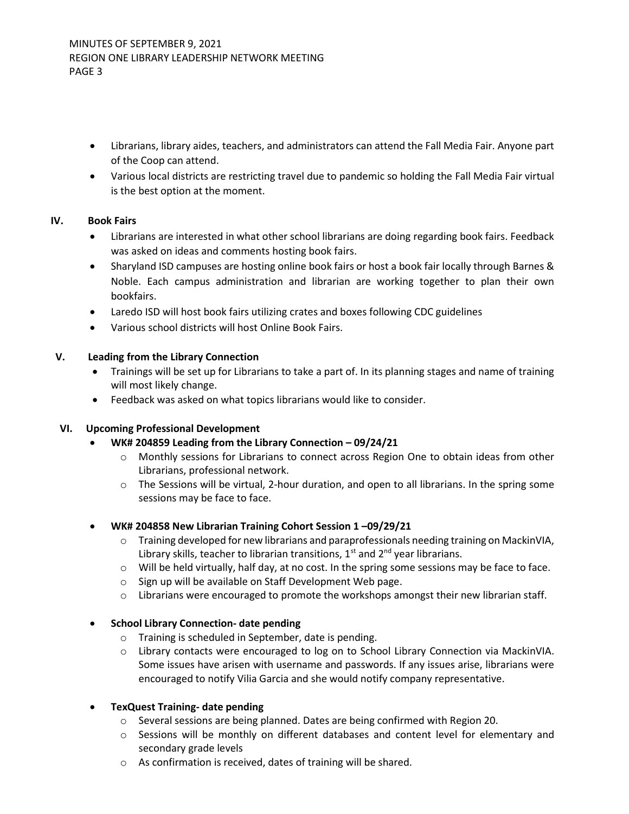- Librarians, library aides, teachers, and administrators can attend the Fall Media Fair. Anyone part of the Coop can attend.
- Various local districts are restricting travel due to pandemic so holding the Fall Media Fair virtual is the best option at the moment.

## IV. Book Fairs

- Librarians are interested in what other school librarians are doing regarding book fairs. Feedback was asked on ideas and comments hosting book fairs.
- Sharyland ISD campuses are hosting online book fairs or host a book fair locally through Barnes & Noble. Each campus administration and librarian are working together to plan their own bookfairs.
- Laredo ISD will host book fairs utilizing crates and boxes following CDC guidelines
- Various school districts will host Online Book Fairs.

#### V. Leading from the Library Connection

- Trainings will be set up for Librarians to take a part of. In its planning stages and name of training will most likely change.
- Feedback was asked on what topics librarians would like to consider.

#### VI. Upcoming Professional Development

- WK# 204859 Leading from the Library Connection 09/24/21
	- o Monthly sessions for Librarians to connect across Region One to obtain ideas from other Librarians, professional network.
	- $\circ$  The Sessions will be virtual, 2-hour duration, and open to all librarians. In the spring some sessions may be face to face.
- WK# 204858 New Librarian Training Cohort Session 1 –09/29/21
	- $\circ$  Training developed for new librarians and paraprofessionals needing training on MackinVIA, Library skills, teacher to librarian transitions,  $1<sup>st</sup>$  and  $2<sup>nd</sup>$  year librarians.
	- o Will be held virtually, half day, at no cost. In the spring some sessions may be face to face.
	- o Sign up will be available on Staff Development Web page.
	- $\circ$  Librarians were encouraged to promote the workshops amongst their new librarian staff.

## School Library Connection- date pending

- o Training is scheduled in September, date is pending.
- o Library contacts were encouraged to log on to School Library Connection via MackinVIA. Some issues have arisen with username and passwords. If any issues arise, librarians were encouraged to notify Vilia Garcia and she would notify company representative.

#### TexQuest Training- date pending

- o Several sessions are being planned. Dates are being confirmed with Region 20.
- o Sessions will be monthly on different databases and content level for elementary and secondary grade levels
- o As confirmation is received, dates of training will be shared.